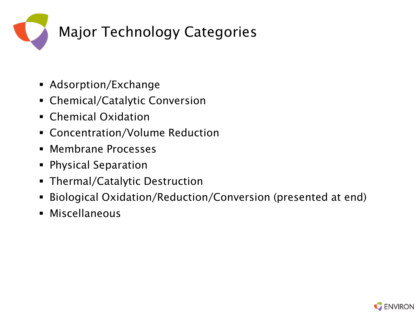

## Major Technology Categories

- Adsorption/Exchange
- Chemical/Catalytic Conversion
- Chemical Oxidation
- Concentration/Volume Reduction
- **Membrane Processes**
- **Physical Separation**
- Thermal/Catalytic Destruction
- Biological Oxidation/Reduction/Conversion (presented at end)
- Miscellaneous

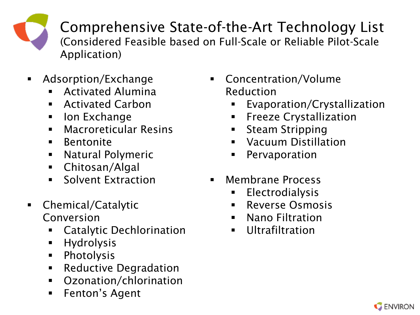Comprehensive State-of-the-Art Technology List (Considered Feasible based on Full-Scale or Reliable Pilot-Scale Application)

- **Adsorption/Exchange** 
	- Activated Alumina
	- **Activated Carbon**
	- **Ion Exchange**
	- **Macroreticular Resins**
	- **Bentonite**
	- **Natural Polymeric**
	- Chitosan/Algal
	- Solvent Extraction
- Chemical/Catalytic Conversion
	- Catalytic Dechlorination
	- **Hydrolysis**
	- **-** Photolysis
	- **Reductive Degradation**
	- Ozonation/chlorination
	- **Fenton's Agent**
- Concentration/Volume Reduction
	- **Exaporation/Crystallization**
	- **Freeze Crystallization**
	- **Steam Stripping**
	- **Vacuum Distillation**
	- **Pervaporation**
- Membrane Process
	- **Electrodialysis**
	- **Reverse Osmosis**
	- **Nano Filtration**
	- **Ultrafiltration**

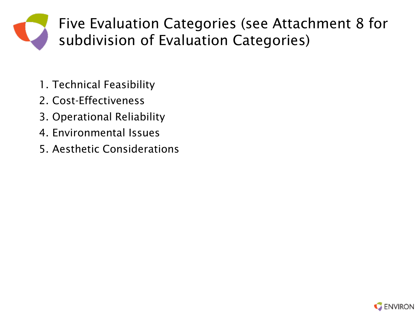

- 1. Technical Feasibility
- 2. Cost-Effectiveness
- 3. Operational Reliability
- 4. Environmental Issues
- 5. Aesthetic Considerations

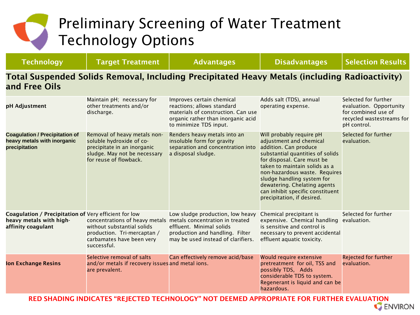## Preliminary Screening of Water Treatment Technology Options

| <b>Technology</b>                                                                                              | <b>Target Treatment</b>                                                                                                                                                 | <b>Advantages</b>                                                                                                                                             | <b>Disadvantages</b>                                                                                                                                                                                                                                                                                                                             | <b>Selection Results</b>                                                                                           |
|----------------------------------------------------------------------------------------------------------------|-------------------------------------------------------------------------------------------------------------------------------------------------------------------------|---------------------------------------------------------------------------------------------------------------------------------------------------------------|--------------------------------------------------------------------------------------------------------------------------------------------------------------------------------------------------------------------------------------------------------------------------------------------------------------------------------------------------|--------------------------------------------------------------------------------------------------------------------|
| Total Suspended Solids Removal, Including Precipitated Heavy Metals (including Radioactivity)<br>and Free Oils |                                                                                                                                                                         |                                                                                                                                                               |                                                                                                                                                                                                                                                                                                                                                  |                                                                                                                    |
| pH Adjustment                                                                                                  | Maintain pH; necessary for<br>other treatments and/or<br>discharge.                                                                                                     | Improves certain chemical<br>reactions; allows standard<br>materials of construction. Can use<br>organic rather than inorganic acid<br>to minimize TDS input. | Adds salt (TDS), annual<br>operating expense.                                                                                                                                                                                                                                                                                                    | Selected for further<br>evaluation. Opportunity<br>for combined use of<br>recycled wastestreams for<br>pH control. |
| <b>Coagulation / Precipitation of</b><br>heavy metals with inorganic<br>precipitation                          | Removal of heavy metals non-<br>soluble hydroxide of co-<br>precipitate in an inorganic<br>sludge. May not be necessary<br>for reuse of flowback.                       | Renders heavy metals into an<br>insoluble form for gravity<br>separation and concentration into<br>a disposal sludge.                                         | Will probably require pH<br>adjustment and chemical<br>addition. Can produce<br>substantial quantities of solids<br>for disposal. Care must be<br>taken to maintain solids as a<br>non-hazardous waste. Requires<br>sludge handling system for<br>dewatering. Chelating agents<br>can inhibit specific constituent<br>precipitation, if desired. | Selected for further<br>evaluation.                                                                                |
| Coagulation / Precipitation of Very efficient for low<br>heavy metals with high-<br>affinity coagulant         | concentrations of heavy metals metals concentration in treated<br>without substantial solids<br>production. Tri-mercaptan /<br>carbamates have been very<br>successful. | Low sludge production, low heavy<br>effluent. Minimal solids<br>production and handling. Filter<br>may be used instead of clarifiers.                         | Chemical precipitant is<br>expensive. Chemical handling<br>is sensitive and control is<br>necessary to prevent accidental<br>effluent aquatic toxicity.                                                                                                                                                                                          | Selected for further<br>evaluation.                                                                                |
| <b>Ion Exchange Resins</b>                                                                                     | Selective removal of salts<br>and/or metals if recovery issues and metal ions.<br>are prevalent.                                                                        | Can effectively remove acid/base                                                                                                                              | Would require extensive<br>pretreatment for oil, TSS and<br>possibly TDS, Adds<br>considerable TDS to system.<br>Regenerant is liquid and can be<br>hazardous.                                                                                                                                                                                   | <b>Rejected for further</b><br>evaluation.                                                                         |

RED SHADING INDICATES "REJECTED TECHNOLOGY" NOT DEEMED APPROPRIATE FOR FURTHER EVALUATION

**C** ENVIRON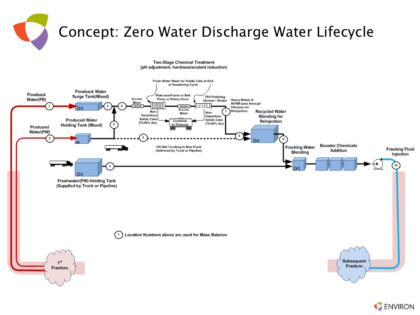

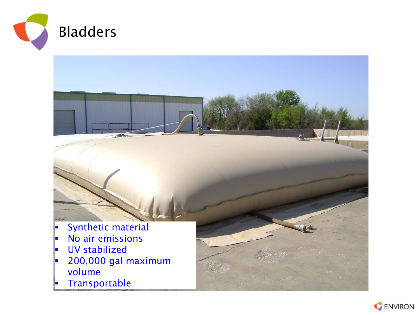



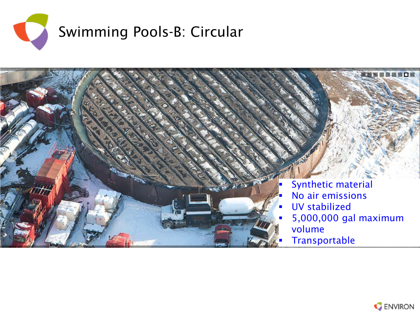



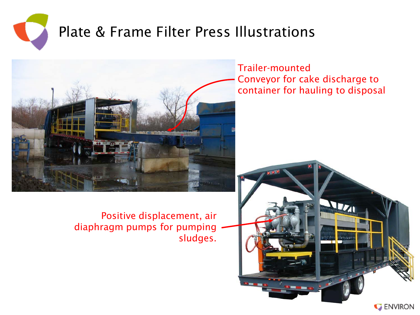

## Plate & Frame Filter Press Illustrations



 Conveyor for cake discharge to container for hauling to disposal Trailer-mounted

 Positive displacement, air diaphragm pumps for pumping sludges.

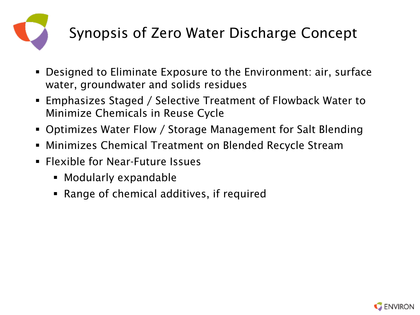

## Synopsis of Zero Water Discharge Concept

- Designed to Eliminate Exposure to the Environment: air, surface water, groundwater and solids residues
- Emphasizes Staged / Selective Treatment of Flowback Water to Minimize Chemicals in Reuse Cycle
- Optimizes Water Flow / Storage Management for Salt Blending
- Minimizes Chemical Treatment on Blended Recycle Stream
- **Filexible for Near-Future Issues** 
	- **Modularly expandable**
	- Range of chemical additives, if required

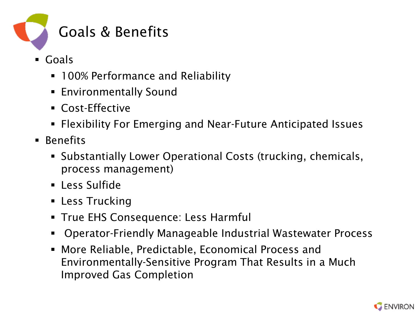

- Goals
	- **100% Performance and Reliability**
	- **Environmentally Sound**
	- Cost-Effective
	- Flexibility For Emerging and Near-Future Anticipated Issues
- **Benefits** 
	- Substantially Lower Operational Costs (trucking, chemicals, process management)
	- **Less Sulfide**
	- **E** Less Trucking
	- **True EHS Consequence: Less Harmful**
	- Operator-Friendly Manageable Industrial Wastewater Process
	- More Reliable, Predictable, Economical Process and Environmentally-Sensitive Program That Results in a Much Improved Gas Completion